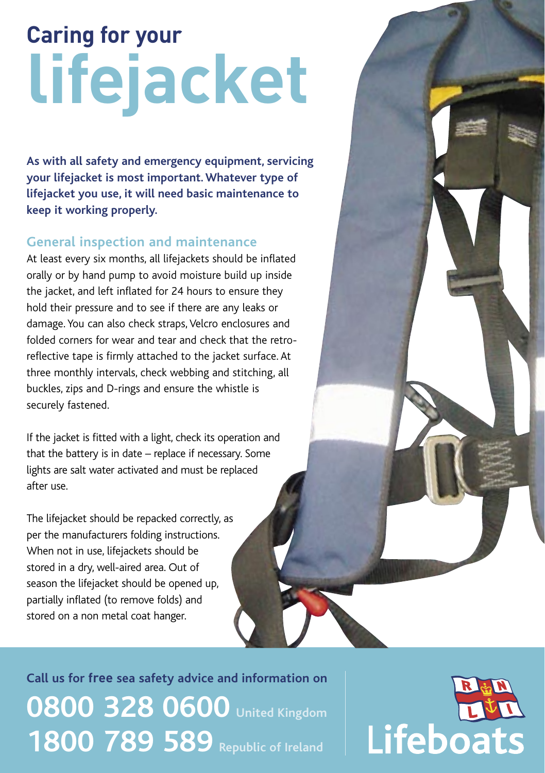## **Caring for your lifejacket**

**As with all safety and emergency equipment, servicing your lifejacket is most important. Whatever type of lifejacket you use, it will need basic maintenance to keep it working properly.**

## **General inspection and maintenance**

At least every six months, all lifejackets should be inflated orally or by hand pump to avoid moisture build up inside the jacket, and left inflated for 24 hours to ensure they hold their pressure and to see if there are any leaks or damage. You can also check straps, Velcro enclosures and folded corners for wear and tear and check that the retroreflective tape is firmly attached to the jacket surface. At three monthly intervals, check webbing and stitching, all buckles, zips and D-rings and ensure the whistle is securely fastened.

If the jacket is fitted with a light, check its operation and that the battery is in date – replace if necessary. Some lights are salt water activated and must be replaced after use.

The lifejacket should be repacked correctly, as per the manufacturers folding instructions. When not in use, lifejackets should be stored in a dry, well-aired area. Out of season the lifejacket should be opened up, partially inflated (to remove folds) and stored on a non metal coat hanger.

**Call us for free sea safety advice and information on 0800 328 0600 United Kingdom 1800 789 589 Republic of Ireland**